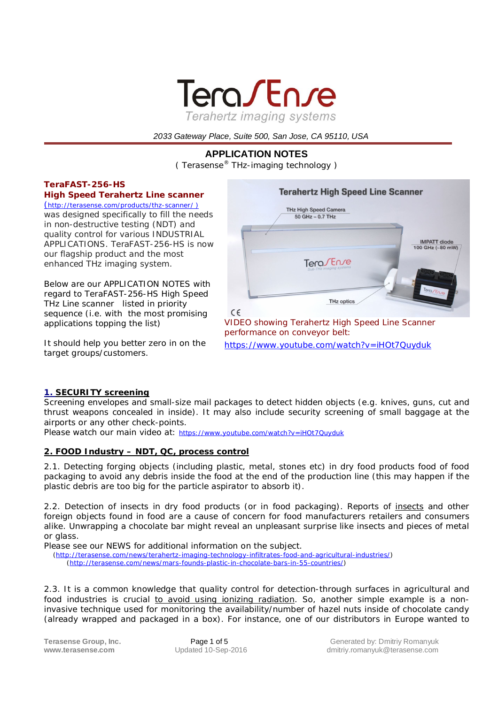

 *2033 Gateway Place, Suite 500, San Jose, CA 95110, USA*

# **APPLICATION NOTES**

( Terasense® THz-imaging technology )

# *TeraFAST-256-HS*

*High Speed Terahertz Line scanner*

(http://terasense.com/products/thz-scanner/ ) was designed specifically to fill the needs in non-destructive testing (NDT) and quality control for various INDUSTRIAL APPLICATIONS. *TeraFAST-256-HS* is now our flagship product and the most enhanced THz imaging system.

Below are our APPLICATION NOTES with regard to *TeraFAST-256-HS High Speed THz Line scanner* listed in priority sequence (i.e. with the most promising applications topping the list)

It should help you better zero in on the target groups/customers.



*VIDEO showing Terahertz High Speed Line Scanner performance on conveyor belt:* https://www.youtube.com/watch?v=iHOt7Quyduk

## *1. SECURITY screening*

Screening envelopes and small-size mail packages to detect hidden objects (e.g. knives, guns, cut and thrust weapons concealed in inside). It may also include security screening of small baggage at the airports or any other check-points.

Please watch our main video at: https://www.youtube.com/watch?v=iHOt7Quyduk

## *2. FOOD Industry – NDT, QC, process control*

2.1. Detecting forging objects (including plastic, metal, stones etc) in dry food products food of food packaging to avoid any debris inside the food at the end of the production line (this may happen if the plastic debris are too big for the particle aspirator to absorb it).

2.2. Detection of insects in dry food products (or in food packaging). Reports of insects and other foreign objects found in food are a cause of concern for food manufacturers retailers and consumers alike. Unwrapping a chocolate bar might reveal an unpleasant surprise like insects and pieces of metal or glass.

Please see our NEWS for additional information on the subject.

 (http://terasense.com/news/terahertz-imaging-technology-infiltrates-food-and-agricultural-industries/) (http://terasense.com/news/mars-founds-plastic-in-chocolate-bars-in-55-countries/)

2.3. It is a common knowledge that quality control for detection-through surfaces in agricultural and food industries is crucial to avoid using ionizing radiation. So, another simple example is a noninvasive technique used for monitoring the availability/number of hazel nuts inside of chocolate candy (already wrapped and packaged in a box). For instance, one of our distributors in Europe wanted to

**Terasense Group, Inc.** Page 1 of 5 Generated by: Dmitriy Romanyuk<br>
When the Page 1 of 5 Generated by: Dmitriy Romanyuk<br>
dmitriy romanyuk @terasense.com **www.terasense.com** Updated 10-Sep-2016 dmitriy.romanyuk@terasense.com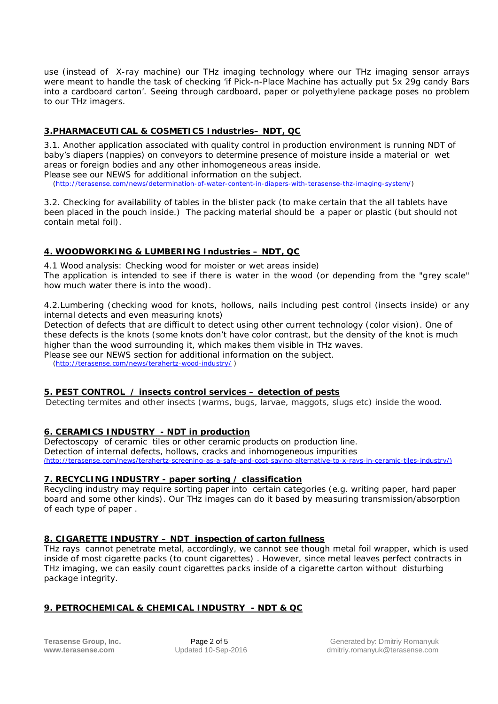use (instead of X-ray machine) our THz imaging technology where our THz imaging sensor arrays were meant to handle the task of checking '*if Pick-n-Place Machine has actually put 5x 29g candy Bars into a cardboard carton'*. Seeing through cardboard, paper or polyethylene package poses no problem to our THz imagers.

## *3.PHARMACEUTICAL & COSMETICS Industries– NDT, QC*

3.1. Another application associated with quality control in production environment is running NDT of baby's diapers (nappies) on conveyors to determine presence of moisture inside a material or wet areas or foreign bodies and any other inhomogeneous areas inside. Please see our NEWS for additional information on the subject.

(http://terasense.com/news/determination-of-water-content-in-diapers-with-terasense-thz-imaging-system/)

3.2. Checking for availability of tables in the blister pack (to make certain that the all tablets have been placed in the pouch inside.) The packing material should be a paper or plastic (but should not contain metal foil).

## *4. WOODWORKING & LUMBERING Industries – NDT, QC*

4.1 Wood analysis: Checking wood for moister or wet areas inside) The application is intended to see if there is water in the wood (or depending from the "grey scale" how much water there is into the wood).

4.2.Lumbering (checking wood for knots, hollows, nails including pest control (insects inside) or any internal detects and even measuring knots)

Detection of defects that are difficult to detect using other current technology (color vision). One of these defects is the knots (some knots don't have color contrast, but the density of the knot is much higher than the wood surrounding it, which makes them visible in THz waves.

Please see our NEWS section for additional information on the subject.

(http://terasense.com/news/terahertz-wood-industry/ )

## *5. PEST CONTROL / insects control services – detection of pests*

Detecting termites and other insects (warms, bugs, larvae, maggots, slugs etc) inside the wood.

## *6. CERAMICS INDUSTRY - NDT in production*

Defectoscopy of ceramic tiles or other ceramic products on production line. Detection of internal defects, hollows, cracks and inhomogeneous impurities (http://terasense.com/news/terahertz-screening-as-a-safe-and-cost-saving-alternative-to-x-rays-in-ceramic-tiles-industry/)

## *7. RECYCLING INDUSTRY - paper sorting / classification*

Recycling industry may require sorting paper into certain categories (e.g. writing paper, hard paper board and some other kinds). Our THz images can do it based by measuring transmission/absorption of each type of paper .

## *8. CIGARETTE INDUSTRY – NDT inspection of carton fullness*

THz rays cannot penetrate metal, accordingly, we cannot see though metal foil wrapper, which is used inside of most cigarette packs (to count cigarettes) . However, since metal leaves perfect contracts in THz imaging, we can easily count cigarettes packs inside of a cigarette carton without disturbing package integrity.

## *9. PETROCHEMICAL & CHEMICAL INDUSTRY - NDT & QC*

**Terasense Group, Inc.** Page 2 of 5 Generated by: Dmitriy Romanyuk<br>
Workerasense.com Updated 10-Sep-2016 dmitriv.romanyuk@terasense.com **www.terasense.com** Updated 10-Sep-2016 dmitriy.romanyuk@terasense.com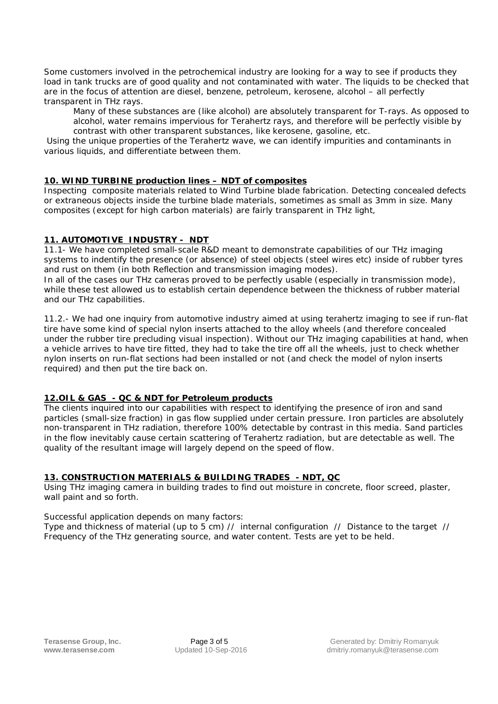Some customers involved in the petrochemical industry are looking for a way to see if products they load in tank trucks are of good quality and not contaminated with water. The liquids to be checked that are in the focus of attention are diesel, benzene, petroleum, kerosene, alcohol – all perfectly transparent in THz rays.

Many of these substances are (like alcohol) are absolutely transparent for T-rays. As opposed to alcohol, water remains impervious for Terahertz rays, and therefore will be perfectly visible by contrast with other transparent substances, like kerosene, gasoline, etc.

Using the unique properties of the Terahertz wave, we can identify impurities and contaminants in various liquids, and differentiate between them.

## *10. WIND TURBINE production lines – NDT of composites*

Inspecting composite materials related to Wind Turbine blade fabrication. Detecting concealed defects or extraneous objects inside the turbine blade materials, sometimes as small as 3mm in size. Many composites (except for high carbon materials) are fairly transparent in THz light,

## *11. AUTOMOTIVE INDUSTRY - NDT*

11.1- We have completed small-scale R&D meant to demonstrate capabilities of our THz imaging systems to indentify the presence (or absence) of steel objects (steel wires etc) inside of rubber tyres and rust on them (in both *Reflection* and *transmission* imaging modes).

In all of the cases our THz cameras proved to be perfectly usable (especially in transmission mode), while these test allowed us to establish certain dependence between the thickness of rubber material and our THz capabilities.

11.2.- We had one inquiry from automotive industry aimed at using terahertz imaging to see if run-flat tire have some kind of special nylon inserts attached to the alloy wheels (and therefore concealed under the rubber tire precluding visual inspection). Without our THz imaging capabilities at hand, when a vehicle arrives to have tire fitted, they had to take the tire off all the wheels, just to check whether nylon inserts on run-flat sections had been installed or not (and check the model of nylon inserts required) and then put the tire back on.

## *12.OIL & GAS - QC & NDT for Petroleum products*

The clients inquired into our capabilities with respect to identifying the presence of iron and sand particles (small-size fraction) in gas flow supplied under certain pressure. Iron particles are absolutely non-transparent in THz radiation, therefore 100% detectable by contrast in this media. Sand particles in the flow inevitably cause certain scattering of Terahertz radiation, but are detectable as well. The quality of the resultant image will largely depend on the speed of flow.

## *13. CONSTRUCTION MATERIALS & BUILDING TRADES - NDT, QC*

Using THz imaging camera in building trades to find out moisture in concrete, floor screed, plaster, wall paint and so forth.

Successful application depends on many factors:

Type and thickness of material (up to 5 cm) // internal configuration // Distance to the target // Frequency of the THz generating source, and water content. Tests are yet to be held.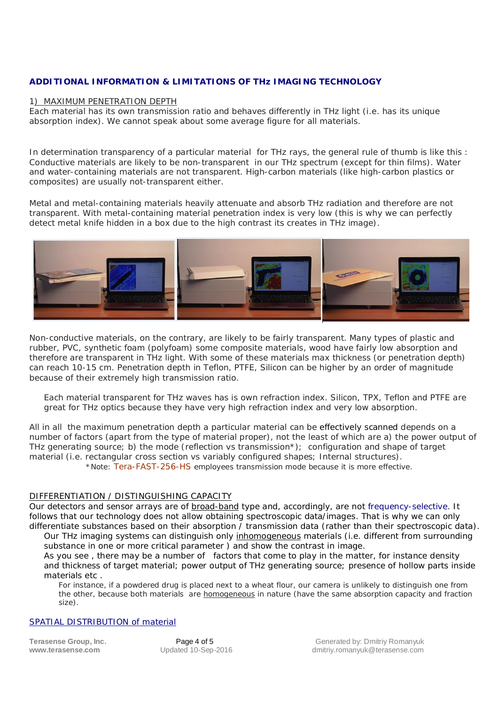## **ADDITIONAL INFORMATION & LIMITATIONS OF THz IMAGING TECHNOLOGY**

#### 1) MAXIMUM PENETRATION DEPTH

Each material has its own *transmission* ratio and behaves differently in THz light (i.e. has its unique absorption index). We cannot speak about some average figure for all materials.

In determination transparency of a particular material for THz rays, the general rule of thumb is like this : Conductive materials are likely to be non-transparent in our THz spectrum (except for thin films). Water and water-containing materials are not transparent. High-carbon materials (like high-carbon plastics or composites) are usually not-transparent either.

Metal and metal-containing materials heavily attenuate and absorb THz radiation and therefore are not transparent. With metal-containing material penetration index is very low (this is why we can perfectly detect metal knife hidden in a box due to the high contrast its creates in THz image).



Non-conductive materials, on the contrary, are likely to be fairly transparent. Many types of plastic and rubber, PVC, synthetic foam (polyfoam) some composite materials, wood have fairly low absorption and therefore are transparent in THz light. With some of these materials max thickness (or penetration depth) can reach 10-15 cm. Penetration depth in Teflon, PTFE, Silicon can be higher by an order of magnitude because of their extremely high transmission ratio.

Each material transparent for THz waves has is own refraction index. Silicon, TPX, Teflon and PTFE are great for THz optics because they have very high refraction index and very low absorption.

All in all the maximum penetration depth a particular material can be effectively scanned depends on a number of factors (apart from the type of material proper), not the least of which are a) the power output of THz generating source; b) the mode (reflection vs transmission\*); configuration and shape of target material (i.e. rectangular cross section vs variably configured shapes; Internal structures).

\*Note: *Tera-FAST-256-HS* employees transmission mode because it is more effective.

#### DIFFERENTIATION / DISTINGUISHING CAPACITY

Our detectors and sensor arrays are of *broad-band* type and, accordingly, are not *frequency-selective*. It follows that our technology does not allow obtaining spectroscopic data/images. That is why *we can only differentiate substances based on their absorption / transmission* data (rather than their spectroscopic data).

Our THz imaging systems can distinguish only *inhomogeneous* materials (i.e. different from surrounding substance in one or more critical parameter ) and show the contrast in image. As you see , there may be a number of factors that come to play in the matter, for instance density

and thickness of target material; power output of THz generating source; presence of hollow parts inside materials etc .

For instance, if a powdered drug is placed next to a wheat flour, our camera is unlikely to distinguish one from the other, because both materials are *homogeneous* in nature (have the same absorption capacity and fraction size).

#### SPATIAL DISTRIBUTION of material

**Terasense Group, Inc.** Page 4 of 5 Cenerated by: Dmitriy Romanyuk<br> **WWW.terasense.com** Updated 10-Sep-2016 Cenerated by: Dmitriy.romanyuk@terasense.com **www.terasense.com** Updated 10-Sep-2016 dmitriy.romanyuk@terasense.com